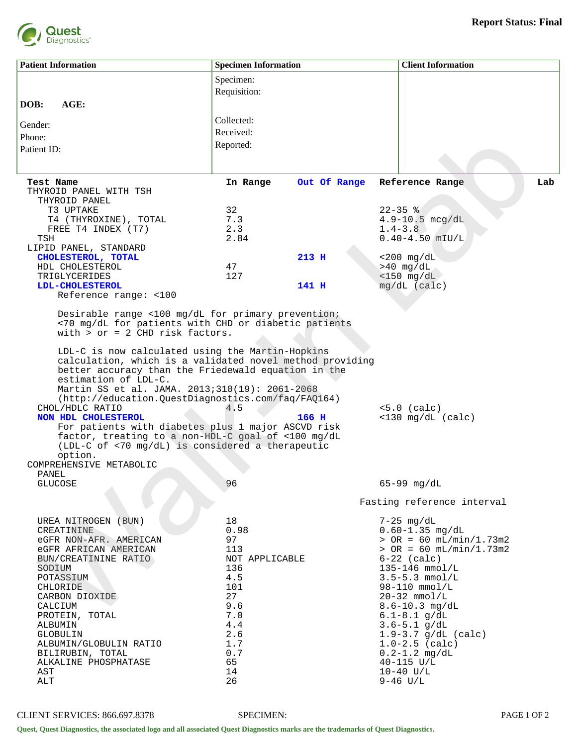

| <b>Patient Information</b>                                                                                                                                                                                                                                                                                                                                                                                                                                                                               | <b>Specimen Information</b> |              | <b>Client Information</b>             |  |
|----------------------------------------------------------------------------------------------------------------------------------------------------------------------------------------------------------------------------------------------------------------------------------------------------------------------------------------------------------------------------------------------------------------------------------------------------------------------------------------------------------|-----------------------------|--------------|---------------------------------------|--|
|                                                                                                                                                                                                                                                                                                                                                                                                                                                                                                          | Specimen:                   |              |                                       |  |
|                                                                                                                                                                                                                                                                                                                                                                                                                                                                                                          | Requisition:                |              |                                       |  |
| AGE:<br>DOB:                                                                                                                                                                                                                                                                                                                                                                                                                                                                                             |                             |              |                                       |  |
| Gender:                                                                                                                                                                                                                                                                                                                                                                                                                                                                                                  | Collected:                  |              |                                       |  |
| Phone:                                                                                                                                                                                                                                                                                                                                                                                                                                                                                                   | Received:                   |              |                                       |  |
| Patient ID:                                                                                                                                                                                                                                                                                                                                                                                                                                                                                              | Reported:                   |              |                                       |  |
|                                                                                                                                                                                                                                                                                                                                                                                                                                                                                                          |                             |              |                                       |  |
|                                                                                                                                                                                                                                                                                                                                                                                                                                                                                                          |                             |              |                                       |  |
| Test Name<br>THYROID PANEL WITH TSH                                                                                                                                                                                                                                                                                                                                                                                                                                                                      | In Range                    | Out Of Range | Lab<br>Reference Range                |  |
| THYROID PANEL                                                                                                                                                                                                                                                                                                                                                                                                                                                                                            |                             |              |                                       |  |
| T3 UPTAKE                                                                                                                                                                                                                                                                                                                                                                                                                                                                                                | 32                          |              | $22 - 35$ %                           |  |
| T4 (THYROXINE), TOTAL                                                                                                                                                                                                                                                                                                                                                                                                                                                                                    | 7.3                         |              | $4.9 - 10.5$ mcg/dL                   |  |
| FREE T4 INDEX (T7)<br>TSH                                                                                                                                                                                                                                                                                                                                                                                                                                                                                | 2.3<br>2.84                 |              | $1.4 - 3.8$<br>$0.40 - 4.50$ mIU/L    |  |
| LIPID PANEL, STANDARD                                                                                                                                                                                                                                                                                                                                                                                                                                                                                    |                             |              |                                       |  |
| CHOLESTEROL, TOTAL                                                                                                                                                                                                                                                                                                                                                                                                                                                                                       |                             | 213 H        | $<$ 200 mg/dL                         |  |
| HDL CHOLESTEROL                                                                                                                                                                                                                                                                                                                                                                                                                                                                                          | 47                          |              | $>40$ mg/dL                           |  |
| TRIGLYCERIDES                                                                                                                                                                                                                                                                                                                                                                                                                                                                                            | 127                         |              | $<$ 150 mg/dL                         |  |
| <b>LDL-CHOLESTEROL</b>                                                                                                                                                                                                                                                                                                                                                                                                                                                                                   |                             | 141 H        | $mg/dL$ (calc)                        |  |
| Reference range: <100                                                                                                                                                                                                                                                                                                                                                                                                                                                                                    |                             |              |                                       |  |
| Desirable range <100 mg/dL for primary prevention;<br><70 mg/dL for patients with CHD or diabetic patients<br>with $>$ or = 2 CHD risk factors.                                                                                                                                                                                                                                                                                                                                                          |                             |              |                                       |  |
| calculation, which is a validated novel method providing<br>better accuracy than the Friedewald equation in the<br>estimation of LDL-C.<br>Martin SS et al. JAMA. 2013;310(19): 2061-2068<br>(http://education.QuestDiagnostics.com/faq/FAQ164)<br>CHOL/HDLC RATIO<br>NON HDL CHOLESTEROL<br>For patients with diabetes plus 1 major ASCVD risk<br>factor, treating to a non-HDL-C goal of <100 mg/dL<br>(LDL-C of <70 mg/dL) is considered a therapeutic<br>option.<br>COMPREHENSIVE METABOLIC<br>PANEL | 4.5                         | 166 H        | $<5.0$ (calc)<br>$<$ 130 mg/dL (calc) |  |
| <b>GLUCOSE</b>                                                                                                                                                                                                                                                                                                                                                                                                                                                                                           | 96                          |              | $65 - 99$ mg/dL                       |  |
|                                                                                                                                                                                                                                                                                                                                                                                                                                                                                                          |                             |              | Fasting reference interval            |  |
|                                                                                                                                                                                                                                                                                                                                                                                                                                                                                                          |                             |              |                                       |  |
| UREA NITROGEN (BUN)<br>CREATININE                                                                                                                                                                                                                                                                                                                                                                                                                                                                        | 18<br>0.98                  |              | $7-25$ mg/dL<br>$0.60 - 1.35$ mg/dL   |  |
| eGFR NON-AFR. AMERICAN                                                                                                                                                                                                                                                                                                                                                                                                                                                                                   | 97                          |              | $>$ OR = 60 mL/min/1.73m2             |  |
| eGFR AFRICAN AMERICAN                                                                                                                                                                                                                                                                                                                                                                                                                                                                                    | 113                         |              | $>$ OR = 60 mL/min/1.73m2             |  |
| BUN/CREATININE RATIO                                                                                                                                                                                                                                                                                                                                                                                                                                                                                     | NOT APPLICABLE              |              | $6-22$ (calc)                         |  |
| SODIUM                                                                                                                                                                                                                                                                                                                                                                                                                                                                                                   | 136                         |              | 135-146 mmol/L                        |  |
| POTASSIUM                                                                                                                                                                                                                                                                                                                                                                                                                                                                                                | 4.5                         |              | $3.5 - 5.3$ mmol/L                    |  |
| CHLORIDE<br>CARBON DIOXIDE                                                                                                                                                                                                                                                                                                                                                                                                                                                                               | 101<br>27                   |              | $98 - 110$ mmol/L<br>$20-32$ mmol/L   |  |
| CALCIUM                                                                                                                                                                                                                                                                                                                                                                                                                                                                                                  | 9.6                         |              | $8.6 - 10.3$ mg/dL                    |  |
| PROTEIN, TOTAL                                                                                                                                                                                                                                                                                                                                                                                                                                                                                           | 7.0                         |              | $6.1 - 8.1$ g/dL                      |  |
| ALBUMIN                                                                                                                                                                                                                                                                                                                                                                                                                                                                                                  | 4.4                         |              | $3.6 - 5.1$ g/dL                      |  |
| GLOBULIN                                                                                                                                                                                                                                                                                                                                                                                                                                                                                                 | 2.6                         |              | $1.9 - 3.7$ g/dL (calc)               |  |
| ALBUMIN/GLOBULIN RATIO                                                                                                                                                                                                                                                                                                                                                                                                                                                                                   | 1.7                         |              | $1.0 - 2.5$ (calc)                    |  |
| BILIRUBIN, TOTAL<br>ALKALINE PHOSPHATASE                                                                                                                                                                                                                                                                                                                                                                                                                                                                 | 0.7<br>65                   |              | $0.2 - 1.2$ mg/dL<br>$40 - 115$ U/L   |  |
| AST                                                                                                                                                                                                                                                                                                                                                                                                                                                                                                      | 14                          |              | $10-40$ U/L                           |  |
| ALT                                                                                                                                                                                                                                                                                                                                                                                                                                                                                                      | 26                          |              | $9-46$ U/L                            |  |